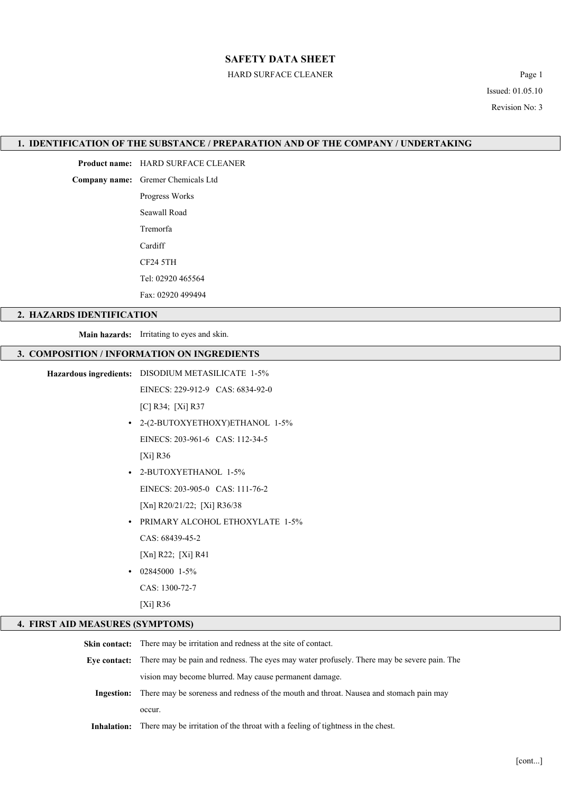### HARD SURFACE CLEANER Page 1

Issued: 01.05.10 Revision No: 3

### 1. IDENTIFICATION OF THE SUBSTANCE / PREPARATION AND OF THE COMPANY / UNDERTAKING

Product name: HARD SURFACE CLEANER

Company name: Gremer Chemicals Ltd

Progress Works Seawall Road Tremorfa Cardiff CF24 5TH Tel: 02920 465564

Fax: 02920 499494

### 2. HAZARDS IDENTIFICATION

Main hazards: Irritating to eyes and skin.

#### 3. COMPOSITION / INFORMATION ON INGREDIENTS

EINECS: 229-912-9 CAS: 6834-92-0

[C] R34; [Xi] R37

• 2-(2-BUTOXYETHOXY)ETHANOL 1-5% EINECS: 203-961-6 CAS: 112-34-5

[Xi] R36

- 2-BUTOXYETHANOL 1-5% EINECS: 203-905-0 CAS: 111-76-2 [Xn] R20/21/22; [Xi] R36/38
- PRIMARY ALCOHOL ETHOXYLATE 1-5%

CAS: 68439-45-2

- [Xn] R22; [Xi] R41
- $\cdot$  02845000 1-5%

CAS: 1300-72-7

[Xi] R36

### 4. FIRST AID MEASURES (SYMPTOMS)

| <b>Skin contact:</b> There may be irritation and redness at the site of contact.                         |  |
|----------------------------------------------------------------------------------------------------------|--|
| Eye contact: There may be pain and redness. The eyes may water profusely. There may be severe pain. The  |  |
| vision may become blurred. May cause permanent damage.                                                   |  |
| <b>Ingestion:</b> There may be soreness and redness of the mouth and throat. Nausea and stomach pain may |  |
| occur.                                                                                                   |  |
| <b>Inhalation:</b> There may be irritation of the throat with a feeling of tightness in the chest.       |  |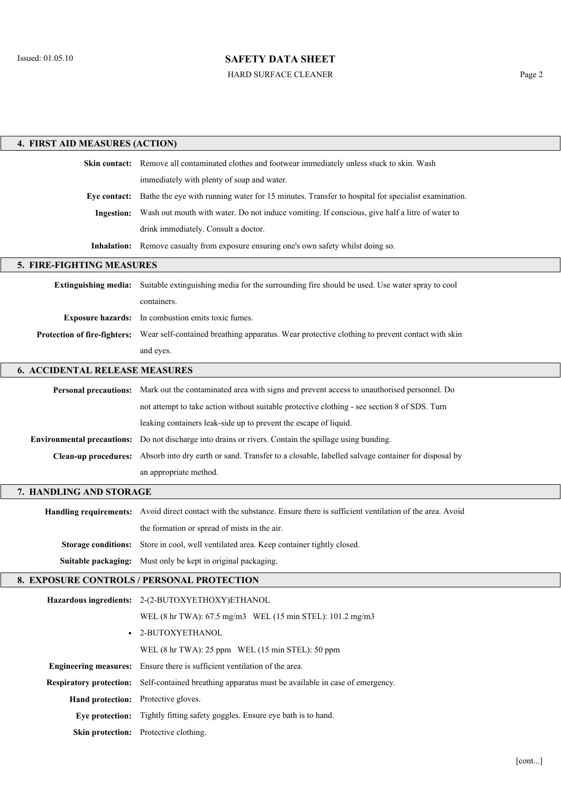HARD SURFACE CLEANER Page 2

| 4. FIRST AID MEASURES (ACTION)        |                                                                                                                             |  |  |  |
|---------------------------------------|-----------------------------------------------------------------------------------------------------------------------------|--|--|--|
|                                       | Skin contact: Remove all contaminated clothes and footwear immediately unless stuck to skin. Wash                           |  |  |  |
|                                       | immediately with plenty of soap and water.                                                                                  |  |  |  |
|                                       | Eye contact: Bathe the eye with running water for 15 minutes. Transfer to hospital for specialist examination.              |  |  |  |
| Ingestion:                            | Wash out mouth with water. Do not induce vomiting. If conscious, give half a litre of water to                              |  |  |  |
|                                       | drink immediately. Consult a doctor.                                                                                        |  |  |  |
|                                       | Inhalation: Remove casualty from exposure ensuring one's own safety whilst doing so.                                        |  |  |  |
| 5. FIRE-FIGHTING MEASURES             |                                                                                                                             |  |  |  |
|                                       | Extinguishing media: Suitable extinguishing media for the surrounding fire should be used. Use water spray to cool          |  |  |  |
|                                       | containers.                                                                                                                 |  |  |  |
|                                       | Exposure hazards: In combustion emits toxic fumes.                                                                          |  |  |  |
|                                       | Protection of fire-fighters: Wear self-contained breathing apparatus. Wear protective clothing to prevent contact with skin |  |  |  |
|                                       | and eyes.                                                                                                                   |  |  |  |
| <b>6. ACCIDENTAL RELEASE MEASURES</b> |                                                                                                                             |  |  |  |
|                                       | Personal precautions: Mark out the contaminated area with signs and prevent access to unauthorised personnel. Do            |  |  |  |
|                                       | not attempt to take action without suitable protective clothing - see section 8 of SDS. Turn                                |  |  |  |
|                                       | leaking containers leak-side up to prevent the escape of liquid.                                                            |  |  |  |
|                                       | <b>Environmental precautions:</b> Do not discharge into drains or rivers. Contain the spillage using bunding.               |  |  |  |
|                                       | Clean-up procedures: Absorb into dry earth or sand. Transfer to a closable, labelled salvage container for disposal by      |  |  |  |
|                                       | an appropriate method.                                                                                                      |  |  |  |
| 7. HANDLING AND STORAGE               |                                                                                                                             |  |  |  |
|                                       | Handling requirements: Avoid direct contact with the substance. Ensure there is sufficient ventilation of the area. Avoid   |  |  |  |
|                                       | the formation or spread of mists in the air.                                                                                |  |  |  |
|                                       | Storage conditions: Store in cool, well ventilated area. Keep container tightly closed.                                     |  |  |  |
|                                       | Suitable packaging: Must only be kept in original packaging.                                                                |  |  |  |
|                                       | 8. EXPOSURE CONTROLS / PERSONAL PROTECTION                                                                                  |  |  |  |
|                                       | Hazardous ingredients: 2-(2-BUTOXYETHOXY)ETHANOL                                                                            |  |  |  |
|                                       | WEL (8 hr TWA): 67.5 mg/m3 WEL (15 min STEL): 101.2 mg/m3                                                                   |  |  |  |
|                                       | · 2-BUTOXYETHANOL                                                                                                           |  |  |  |
|                                       | WEL (8 hr TWA): 25 ppm WEL (15 min STEL): 50 ppm                                                                            |  |  |  |
|                                       | Engineering measures: Ensure there is sufficient ventilation of the area.                                                   |  |  |  |
| <b>Respiratory protection:</b>        | Self-contained breathing apparatus must be available in case of emergency.                                                  |  |  |  |
| Hand protection: Protective gloves.   |                                                                                                                             |  |  |  |
| Eye protection:                       | Tightly fitting safety goggles. Ensure eye bath is to hand.                                                                 |  |  |  |

Skin protection: Protective clothing.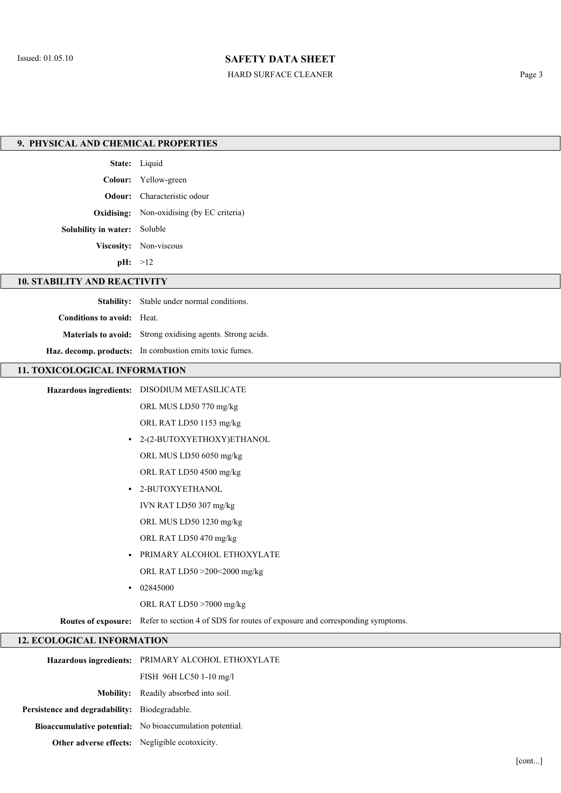## HARD SURFACE CLEANER Page 3

| 9. PHYSICAL AND CHEMICAL PROPERTIES |                                                                                                  |  |
|-------------------------------------|--------------------------------------------------------------------------------------------------|--|
|                                     |                                                                                                  |  |
|                                     | State: Liquid                                                                                    |  |
|                                     | Colour: Yellow-green                                                                             |  |
|                                     | Odour: Characteristic odour                                                                      |  |
|                                     | <b>Oxidising:</b> Non-oxidising (by EC criteria)                                                 |  |
| Solubility in water: Soluble        |                                                                                                  |  |
|                                     | Viscosity: Non-viscous                                                                           |  |
|                                     | pH: >12                                                                                          |  |
| <b>10. STABILITY AND REACTIVITY</b> |                                                                                                  |  |
|                                     | Stability: Stable under normal conditions.                                                       |  |
| Conditions to avoid: Heat.          |                                                                                                  |  |
|                                     | Materials to avoid: Strong oxidising agents. Strong acids.                                       |  |
|                                     | Haz. decomp. products: In combustion emits toxic fumes.                                          |  |
| 11. TOXICOLOGICAL INFORMATION       |                                                                                                  |  |
|                                     | Hazardous ingredients: DISODIUM METASILICATE                                                     |  |
|                                     | ORL MUS LD50 770 mg/kg                                                                           |  |
|                                     | ORL RAT LD50 1153 mg/kg                                                                          |  |
| $\bullet$                           | 2-(2-BUTOXYETHOXY)ETHANOL                                                                        |  |
|                                     | ORL MUS LD50 6050 mg/kg                                                                          |  |
|                                     | ORL RAT LD50 4500 mg/kg                                                                          |  |
| $\bullet$                           | 2-BUTOXYETHANOL                                                                                  |  |
|                                     | IVN RAT LD50 307 mg/kg                                                                           |  |
|                                     | ORL MUS LD50 1230 mg/kg                                                                          |  |
|                                     | ORL RAT LD50 470 mg/kg                                                                           |  |
|                                     | PRIMARY ALCOHOL ETHOXYLATE                                                                       |  |
|                                     | ORL RAT LD50 >200<2000 mg/kg                                                                     |  |
| $\bullet$                           | 02845000                                                                                         |  |
|                                     | ORL RAT LD50 >7000 mg/kg                                                                         |  |
|                                     | Routes of exposure: Refer to section 4 of SDS for routes of exposure and corresponding symptoms. |  |
| <b>12. ECOLOGICAL INFORMATION</b>   |                                                                                                  |  |
|                                     | Hazardous ingredients: PRIMARY ALCOHOL ETHOXYLATE                                                |  |
|                                     | FISH 96H LC50 1-10 mg/l                                                                          |  |

|                                                       | $FIM$ 90H LCJU I-IU $M/I$                                |
|-------------------------------------------------------|----------------------------------------------------------|
|                                                       | <b>Mobility:</b> Readily absorbed into soil.             |
| <b>Persistence and degradability:</b> Biodegradable.  |                                                          |
|                                                       | Bioaccumulative potential: No bioaccumulation potential. |
| <b>Other adverse effects:</b> Negligible ecotoxicity. |                                                          |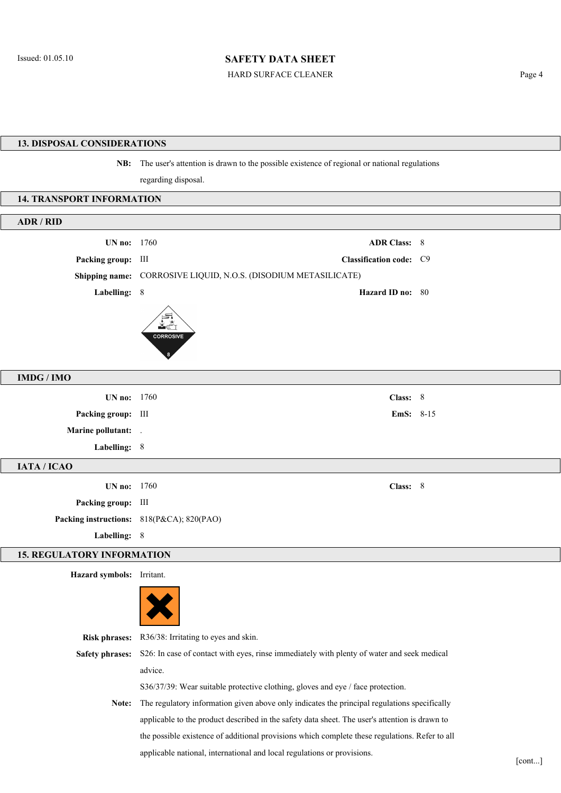HARD SURFACE CLEANER Page 4

### 13. DISPOSAL CONSIDERATIONS

NB: The user's attention is drawn to the possible existence of regional or national regulations

regarding disposal.

#### 14. TRANSPORT INFORMATION

| ADR / RID                |                                                                 |  |
|--------------------------|-----------------------------------------------------------------|--|
| <b>UN no:</b> 1760       | <b>ADR Class: 8</b>                                             |  |
| Packing group: III       | Classification code: C9                                         |  |
|                          | Shipping name: CORROSIVE LIQUID, N.O.S. (DISODIUM METASILICATE) |  |
| Labelling: 8             | Hazard ID no: 80                                                |  |
|                          | ¥ð<br><b>CORROSIVE</b>                                          |  |
| <b>IMDG/IMO</b>          |                                                                 |  |
| UN no: 1760              | Class: 8                                                        |  |
| Packing group: III       | <b>EmS:</b> $8-15$                                              |  |
| <b>Marine pollutant:</b> |                                                                 |  |
| Labelling: 8             |                                                                 |  |
| IATA / ICAO              |                                                                 |  |
| UN no: 1760              | Class: 8                                                        |  |
| Packing group: III       |                                                                 |  |
|                          | Packing instructions: 818(P&CA); 820(PAO)                       |  |
| Labelling: 8             |                                                                 |  |

### 15. REGULATORY INFORMATION

Hazard symbols: Irritant.

|                        | X                                                                                            |
|------------------------|----------------------------------------------------------------------------------------------|
| <b>Risk phrases:</b>   | R36/38: Irritating to eyes and skin.                                                         |
| <b>Safety phrases:</b> | S26: In case of contact with eyes, rinse immediately with plenty of water and seek medical   |
|                        | advice.                                                                                      |
|                        | $S36/37/39$ : Wear suitable protective clothing, gloves and eye / face protection.           |
| Note:                  | The regulatory information given above only indicates the principal regulations specifically |
|                        |                                                                                              |

Note: The regulatory information given above only indicates the principal regulations specifically applicable to the product described in the safety data sheet. The user's attention is drawn to the possible existence of additional provisions which complete these regulations. Refer to all applicable national, international and local regulations or provisions.